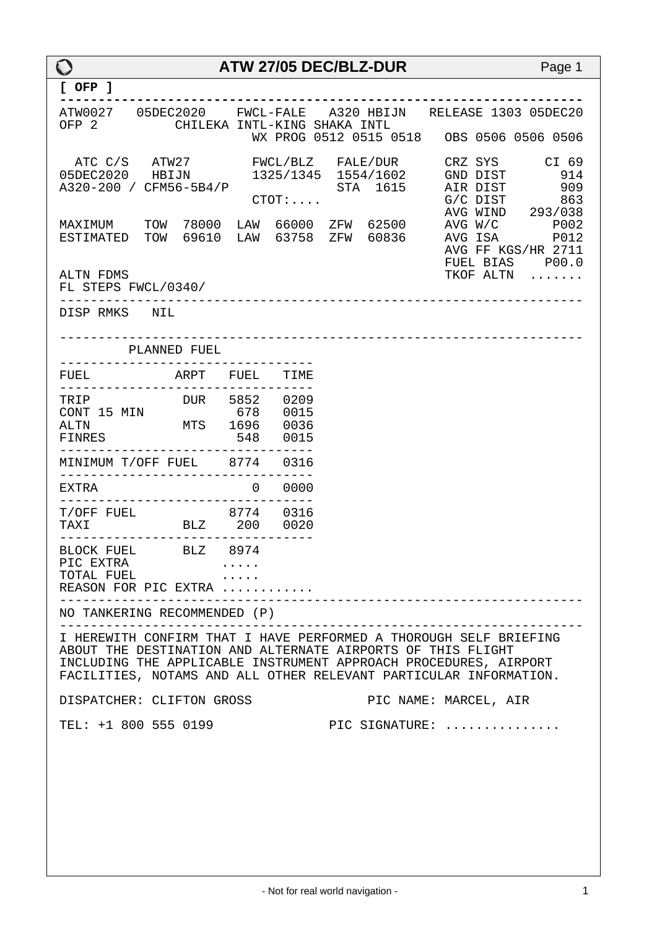| $\mathbf O$                                                                     |                              | ATW 27/05 DEC/BLZ-DUR        |  | Page 1                                                                                                                                                                                                     |
|---------------------------------------------------------------------------------|------------------------------|------------------------------|--|------------------------------------------------------------------------------------------------------------------------------------------------------------------------------------------------------------|
| $[$ OFP $]$                                                                     |                              |                              |  |                                                                                                                                                                                                            |
| OFP 2                                                                           | CHILEKA INTL-KING SHAKA INTL |                              |  | ATW0027  05DEC2020  FWCL-FALE  A320 HBIJN  RELEASE  1303  05DEC20                                                                                                                                          |
| ATC C/S ATW27                                                                   |                              |                              |  | FWCL/BLZ FALE/DUR CRZ SYS CI 69<br>05DEC2020 HBIJN 1325/1345 1554/1602 GND DIST 914                                                                                                                        |
|                                                                                 |                              |                              |  | STA 1615 AIR DIST 909<br>CTOT: STA 1615 AIR DIST 909<br>G/C DIST 863<br>AVG WIND 293/038<br>MAXIMUM TOW 78000 LAW 66000 ZFW 62500 AVG W/C P002<br>ESTIMATED TOW 69610 LAW 63758 ZFW 60836 AVG ISA P012     |
| ALTN FDMS<br>FL STEPS FWCL/0340/<br>-------------- <i>-</i>                     |                              |                              |  | FUEL BIAS P00.0<br>TKOF ALTN                                                                                                                                                                               |
| DISP RMKS NIL                                                                   |                              |                              |  |                                                                                                                                                                                                            |
|                                                                                 | PLANNED FUEL                 |                              |  |                                                                                                                                                                                                            |
| FUEL ARPT FUEL TIME                                                             |                              |                              |  |                                                                                                                                                                                                            |
| TRIP DUR 5852 0209<br>CONT 15 MIN 678 0015<br>ALTN MTS 1696 0036<br>FINRES      |                              | ----------------<br>548 0015 |  |                                                                                                                                                                                                            |
| MINIMUM T/OFF FUEL 8774 0316                                                    |                              | ------------                 |  |                                                                                                                                                                                                            |
| EXTRA                                                                           |                              | 0 0000                       |  |                                                                                                                                                                                                            |
| T/OFF FUEL 8774 0316<br>TAXI BLZ 200 0020<br>__________________________________ |                              |                              |  |                                                                                                                                                                                                            |
| BLOCK FUEL BLZ 8974<br>PIC EXTRA<br>TOTAL FUEL<br>REASON FOR PIC EXTRA          |                              |                              |  |                                                                                                                                                                                                            |
| NO TANKERING RECOMMENDED (P)                                                    |                              |                              |  |                                                                                                                                                                                                            |
| ABOUT THE DESTINATION AND ALTERNATE AIRPORTS OF THIS FLIGHT                     |                              |                              |  | I HEREWITH CONFIRM THAT I HAVE PERFORMED A THOROUGH SELF BRIEFING<br>INCLUDING THE APPLICABLE INSTRUMENT APPROACH PROCEDURES, AIRPORT<br>FACILITIES, NOTAMS AND ALL OTHER RELEVANT PARTICULAR INFORMATION. |
| DISPATCHER: CLIFTON GROSS                                                       |                              |                              |  | PIC NAME: MARCEL, AIR                                                                                                                                                                                      |
| TEL: +1 800 555 0199                                                            |                              |                              |  | PIC SIGNATURE:                                                                                                                                                                                             |
|                                                                                 |                              |                              |  |                                                                                                                                                                                                            |
|                                                                                 |                              |                              |  |                                                                                                                                                                                                            |
|                                                                                 |                              |                              |  |                                                                                                                                                                                                            |
|                                                                                 |                              |                              |  |                                                                                                                                                                                                            |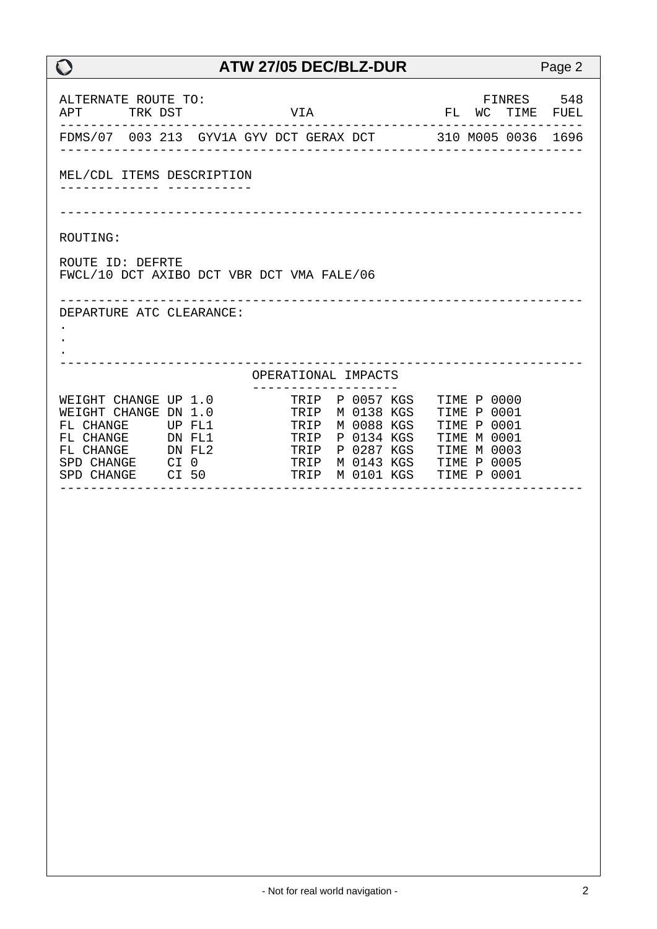| ALTERNATE ROUTE TO:<br>APT TRK DST                                                                                          |                                                            | VIA |                                                                                                                                                                | FINRES 548<br>FL WC TIME FUEL<br>----------------                              |  |
|-----------------------------------------------------------------------------------------------------------------------------|------------------------------------------------------------|-----|----------------------------------------------------------------------------------------------------------------------------------------------------------------|--------------------------------------------------------------------------------|--|
|                                                                                                                             | FDMS/07 003 213 GYV1A GYV DCT GERAX DCT 310 M005 0036 1696 |     |                                                                                                                                                                |                                                                                |  |
| MEL/CDL ITEMS DESCRIPTION<br>______________ _____________                                                                   | ------------------------------                             |     |                                                                                                                                                                |                                                                                |  |
| ROUTING:                                                                                                                    |                                                            |     |                                                                                                                                                                |                                                                                |  |
| ROUTE ID: DEFRTE                                                                                                            | FWCL/10 DCT AXIBO DCT VBR DCT VMA FALE/06                  |     |                                                                                                                                                                |                                                                                |  |
| DEPARTURE ATC CLEARANCE:                                                                                                    |                                                            |     |                                                                                                                                                                |                                                                                |  |
|                                                                                                                             |                                                            |     | OPERATIONAL IMPACTS                                                                                                                                            |                                                                                |  |
| WEIGHT CHANGE UP 1.0<br>WEIGHT CHANGE DN 1.0<br>FL CHANGE UP FL1<br>FL CHANGE DN FL2<br>SPD CHANGE CI 0<br>SPD CHANGE CI 50 | FL CHANGE DN FL1 TRIP P 0134 KGS<br>_ _ _ _ _ _ _ _ _ _    |     | --------------------<br>TRIP P 0057 KGS<br>TRIP M 0138 KGS<br>TRIP M 0088 KGS<br>TRIP P 0287 KGS<br>TRIP M 0143 KGS TIME P 0005<br>TRIP M 0101 KGS TIME P 0001 | TIME P 0000<br>TIME P 0001<br>TIME P 0001<br>TIME M 0001<br><b>TIME M 0003</b> |  |
|                                                                                                                             |                                                            |     |                                                                                                                                                                |                                                                                |  |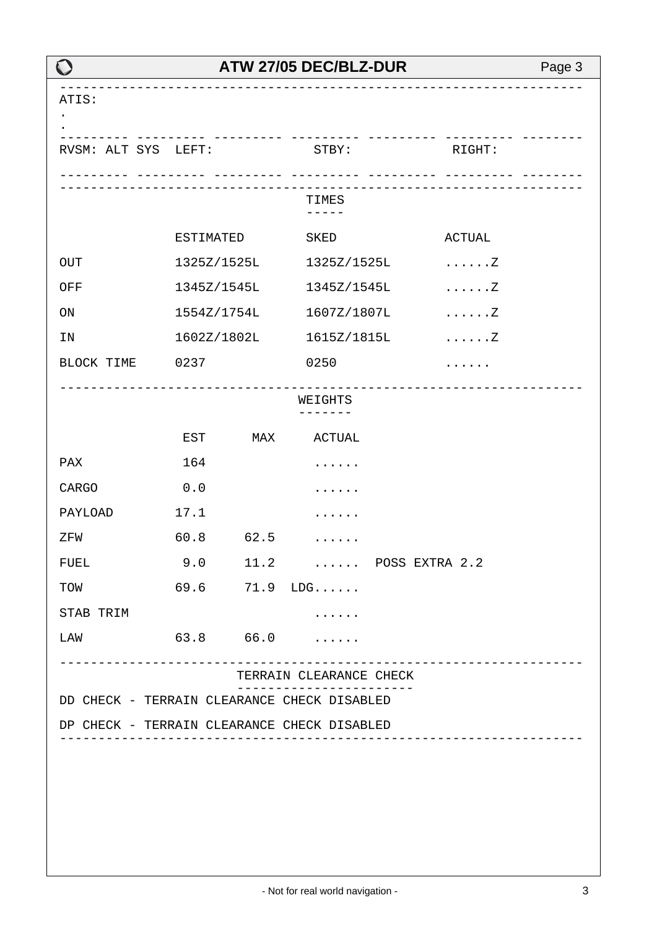|                                             |              |                      | ATW 27/05 DEC/BLZ-DUR    |  |                                                | Page 3 |
|---------------------------------------------|--------------|----------------------|--------------------------|--|------------------------------------------------|--------|
| ATIS:                                       |              |                      |                          |  |                                                |        |
| RVSM: ALT SYS LEFT:                         |              | _______ __________ _ | $\mathtt{STBY}$ :        |  | RIGHT:<br><u> -------- ---------- --------</u> |        |
|                                             |              |                      | TIMES<br>$- - - - -$     |  |                                                |        |
|                                             | ESTIMATED    |                      | SKED                     |  | <b>ACTUAL</b>                                  |        |
| <b>OUT</b>                                  |              | 1325Z/1525L          | 1325Z/1525L              |  | . Z                                            |        |
| OFF                                         |              |                      | 1345Z/1545L 1345Z/1545L  |  | . Z                                            |        |
| $\mathop{\rm ON}$                           |              | 1554Z/1754L          | 1607Z/1807L              |  | . Z                                            |        |
| IN                                          |              | 1602Z/1802L          | 1615Z/1815L              |  | . Z                                            |        |
| BLOCK TIME 0237                             |              |                      | 0250                     |  |                                                |        |
|                                             | WEIGHTS<br>. |                      |                          |  |                                                |        |
|                                             | EST          | MAX                  | <b>ACTUAL</b>            |  |                                                |        |
| PAX                                         | 164          |                      | .                        |  |                                                |        |
| CARGO                                       | 0.0          |                      |                          |  |                                                |        |
| PAYLOAD                                     | 17.1         |                      |                          |  |                                                |        |
| ZFW                                         | 60.8         | 62.5                 |                          |  |                                                |        |
| <b>FUEL</b>                                 |              |                      | 9.0 11.2  POSS EXTRA 2.2 |  |                                                |        |
| TOW                                         |              |                      | $69.6$ $71.9$ $LDG$      |  |                                                |        |
| STAB TRIM                                   |              |                      |                          |  |                                                |        |
| LAW                                         |              |                      | $63.8$ $66.0$            |  |                                                |        |
|                                             |              |                      | TERRAIN CLEARANCE CHECK  |  | . <u>_ _ _ _ _ _ _ _ _ _ _ _ _ _ _ _</u> _     |        |
| DD CHECK - TERRAIN CLEARANCE CHECK DISABLED |              |                      |                          |  |                                                |        |
| DP CHECK - TERRAIN CLEARANCE CHECK DISABLED |              |                      |                          |  |                                                |        |
|                                             |              |                      |                          |  |                                                |        |
|                                             |              |                      |                          |  |                                                |        |
|                                             |              |                      |                          |  |                                                |        |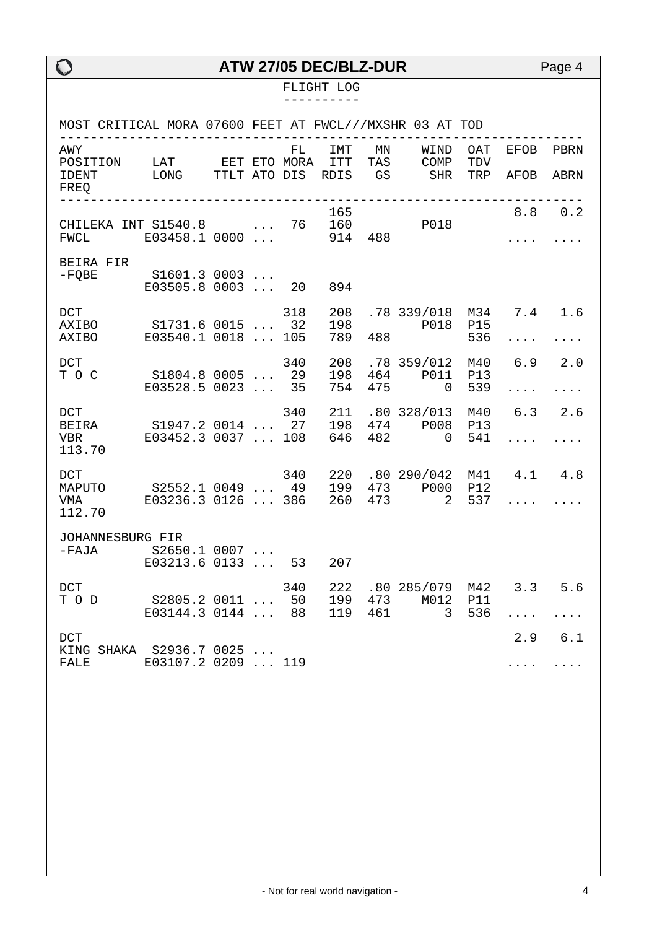#### FLIGHT LOG ----------

| MOST CRITICAL MORA 07600 FEET AT FWCL///MXSHR 03 AT TOD                                           |                               |  |           |                   |     |                                                      |                          |                                   |                |
|---------------------------------------------------------------------------------------------------|-------------------------------|--|-----------|-------------------|-----|------------------------------------------------------|--------------------------|-----------------------------------|----------------|
| AWY<br>POSITION LAT EET ETO MORA ITT<br>IDENT<br>FREQ                                             | LONG TTLT ATO DIS RDIS GS SHR |  |           |                   |     | FL IMT MN WIND<br>10RA ITT TAS COMP                  | OAT<br>TDV<br>TRP        | EFOB<br>AFOB                      | PBRN<br>ABRN   |
| FWCL E03458.1 0000                                                                                |                               |  |           | 165<br>914 488    |     |                                                      |                          | 8.8 0.2<br>$\cdots$               |                |
| BEIRA FIR                                                                                         |                               |  |           |                   |     |                                                      |                          |                                   |                |
| DCT<br>AXIBO S1731.6 0015  32<br>AXIBO E03540.1 0018  105                                         |                               |  | 318       | 208<br>198<br>789 |     | .78 339/018 M34 7.4 1.6<br>P018<br>488               | P15<br>536               | $\cdots$                          | .              |
| DCT<br>T O C S1804.8 0005  29                                                                     | E03528.5 0023                 |  | 340<br>35 | 208<br>198<br>754 | 475 | .78 359/012<br>464 P011<br>$\overline{0}$            | M40<br><b>P13</b><br>539 | 6.9 2.0                           | .              |
| 340 211<br>DEIRA S1947.2 0014  27 198<br>VBR E03452.3 0037  108 646<br>113.70                     |                               |  |           |                   |     | .80328/013<br>474 P008<br>$482$ 0                    | M40<br>P13<br>541        | $6.3\ 2.6$<br>$\cdot \cdot \cdot$ | .              |
| DCT<br>MAPUTO S2552.1 0049  49 199 473 P000 P12<br>VMA E03236.3 0126  386 260 473 2 537<br>112.70 |                               |  |           |                   |     | 340 220 .80 290/042                                  |                          | M41 4.1 4.8<br>$\cdots$           |                |
| JOHANNESBURG FIR<br>-FAJA S2650.1 0007<br>E03213.6 0133  53 207                                   |                               |  |           |                   |     |                                                      |                          |                                   |                |
| <b>DCT</b><br>T O D S2805.2 0011  50 199                                                          | E03144.3 0144  88             |  |           | 119               |     | 340 222 .80 285/079 M42 3.3 5.6<br>473 M012<br>461 3 | P11<br>536               | .                                 | .              |
| DCT<br>KING SHAKA S2936.7 0025<br><b>FALE</b>                                                     | E03107.2 0209  119            |  |           |                   |     |                                                      |                          | $\cdots$                          | $2.9$ 6.1<br>. |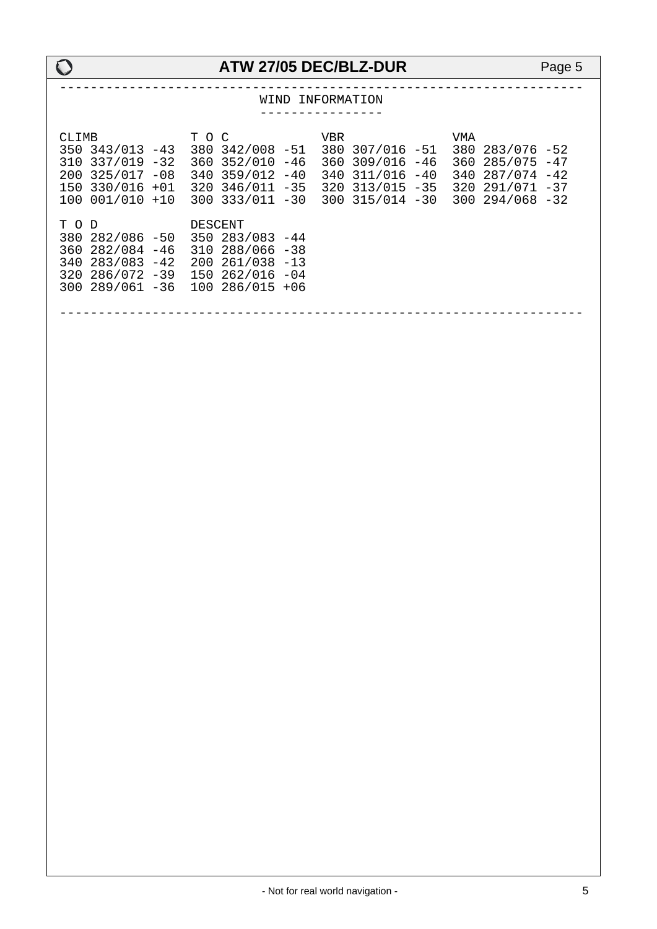|       |                                                                                                                                                                                                                                                      | WIND INFORMATION<br>----------------             |                                                                                        |
|-------|------------------------------------------------------------------------------------------------------------------------------------------------------------------------------------------------------------------------------------------------------|--------------------------------------------------|----------------------------------------------------------------------------------------|
| CLIMB | T O C<br>350 343/013 -43 380 342/008 -51 380 307/016 -51<br>310 337/019 -32 360 352/010 -46<br>200 325/017 -08 340 359/012 -40<br>150 330/016 +01 320 346/011 -35 320 313/015 -35<br>100 001/010 +10 300 333/011 -30 300 315/014 -30 300 294/068 -32 | <b>VBR</b><br>360 309/016 -46<br>340 311/016 -40 | <b>VMA</b><br>380 283/076 -52<br>360 285/075 -47<br>340 287/074 -42<br>320 291/071 -37 |
| T O D | DESCENT<br>380 282/086 -50 350 283/083 -44<br>360 282/084 -46 310 288/066 -38<br>340 283/083 -42 200 261/038 -13<br>320 286/072 -39 150 262/016 -04<br>300 289/061 -36 100 286/015 +06                                                               |                                                  |                                                                                        |
|       |                                                                                                                                                                                                                                                      |                                                  |                                                                                        |
|       |                                                                                                                                                                                                                                                      |                                                  |                                                                                        |
|       |                                                                                                                                                                                                                                                      |                                                  |                                                                                        |
|       |                                                                                                                                                                                                                                                      |                                                  |                                                                                        |
|       |                                                                                                                                                                                                                                                      |                                                  |                                                                                        |
|       |                                                                                                                                                                                                                                                      |                                                  |                                                                                        |
|       |                                                                                                                                                                                                                                                      |                                                  |                                                                                        |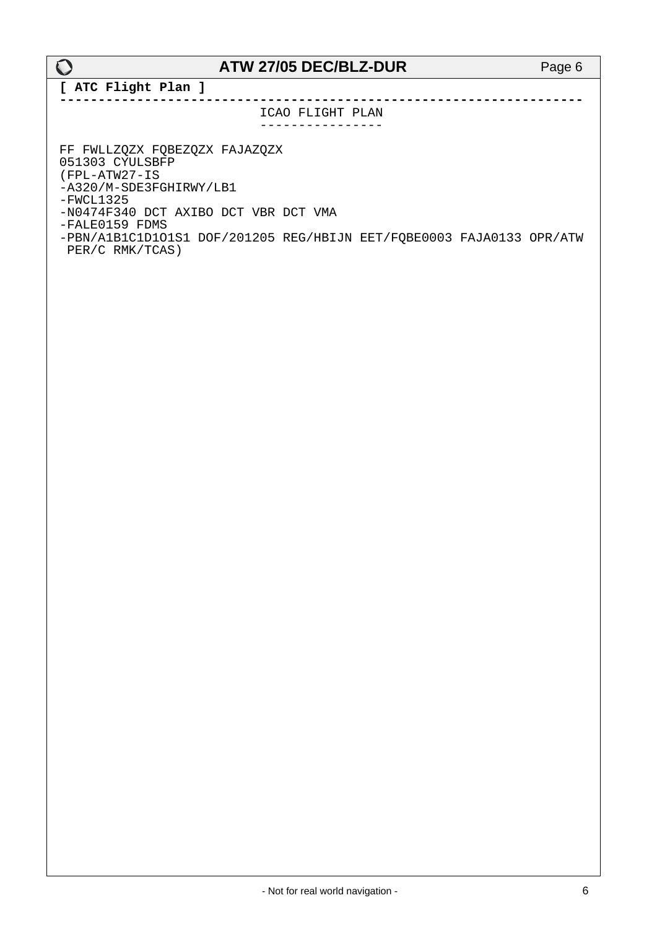**[ ATC Flight Plan ] --------------------------------------------------------------------**

> ICAO FLIGHT PLAN ----------------

FF FWLLZQZX FQBEZQZX FAJAZQZX 051303 CYULSBFP (FPL-ATW27-IS -A320/M-SDE3FGHIRWY/LB1  $-FWCL1325$ -N0474F340 DCT AXIBO DCT VBR DCT VMA -FALE0159 FDMS -PBN/A1B1C1D1O1S1 DOF/201205 REG/HBIJN EET/FQBE0003 FAJA0133 OPR/ATW PER/C RMK/TCAS)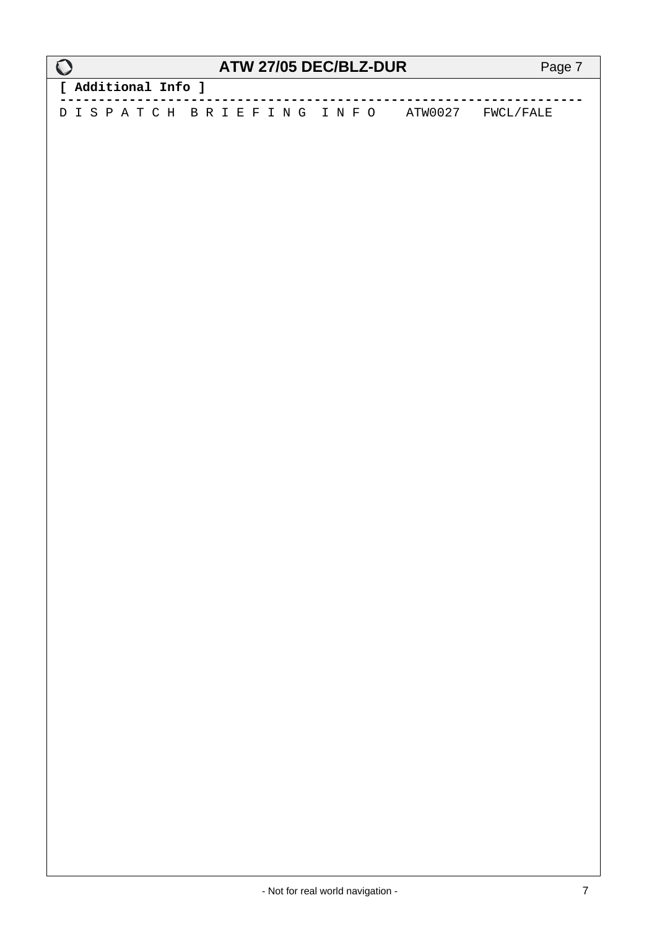| $\mathbf O$         | <b>ATW 27/05 DEC/BLZ-DUR</b>             | Page 7 |
|---------------------|------------------------------------------|--------|
| [ Additional Info ] |                                          |        |
|                     | DISPATCH BRIEFING INFO ATW0027 FWCL/FALE |        |
|                     |                                          |        |
|                     |                                          |        |
|                     |                                          |        |
|                     |                                          |        |
|                     |                                          |        |
|                     |                                          |        |
|                     |                                          |        |
|                     |                                          |        |
|                     |                                          |        |
|                     |                                          |        |
|                     |                                          |        |
|                     |                                          |        |
|                     |                                          |        |
|                     |                                          |        |
|                     |                                          |        |
|                     |                                          |        |
|                     |                                          |        |
|                     |                                          |        |
|                     |                                          |        |
|                     |                                          |        |
|                     |                                          |        |
|                     |                                          |        |
|                     |                                          |        |

 $\mathsf{r}$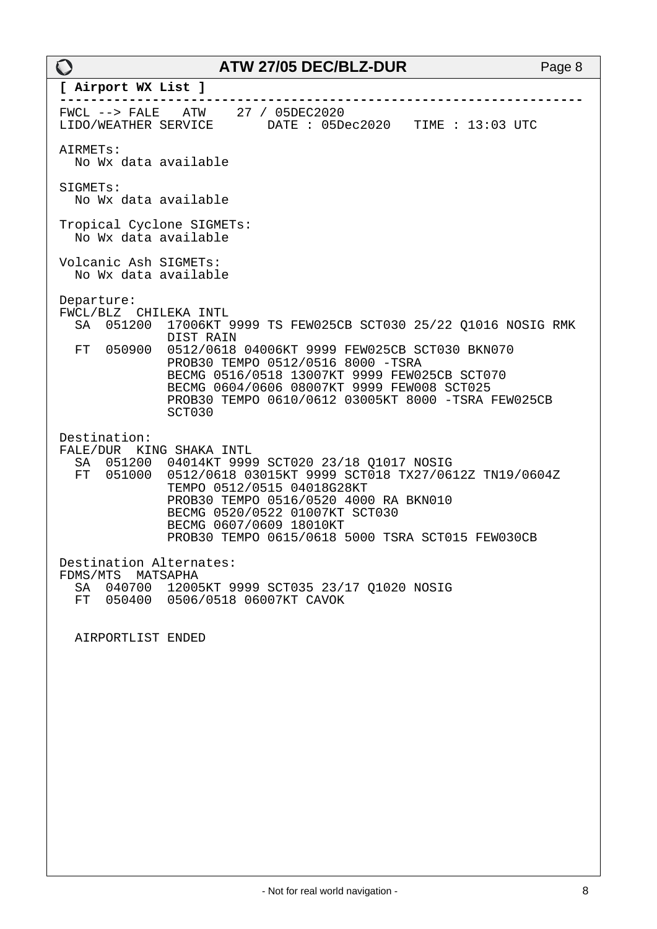| $\bf{O}$                                                                                   | ATW 27/05 DEC/BLZ-DUR                                                                                                                                                                                                                                                                           | Page 8 |
|--------------------------------------------------------------------------------------------|-------------------------------------------------------------------------------------------------------------------------------------------------------------------------------------------------------------------------------------------------------------------------------------------------|--------|
| [ Airport WX List ]                                                                        |                                                                                                                                                                                                                                                                                                 |        |
| FWCL --> FALE ATW 27 / 05DEC2020                                                           | LIDO/WEATHER SERVICE DATE: 05Dec2020 TIME: 13:03 UTC                                                                                                                                                                                                                                            |        |
| AIRMETs:<br>No Wx data available                                                           |                                                                                                                                                                                                                                                                                                 |        |
| SIGMETs:<br>No Wx data available                                                           |                                                                                                                                                                                                                                                                                                 |        |
| Tropical Cyclone SIGMETs:<br>No Wx data available                                          |                                                                                                                                                                                                                                                                                                 |        |
| Volcanic Ash SIGMETs:<br>No Wx data available                                              |                                                                                                                                                                                                                                                                                                 |        |
| Departure:<br>FWCL/BLZ CHILEKA INTL<br>051200<br>SA<br>DIST RAIN<br>FT<br>050900<br>SCT030 | 17006KT 9999 TS FEW025CB SCT030 25/22 Q1016 NOSIG RMK<br>0512/0618 04006KT 9999 FEW025CB SCT030 BKN070<br>PROB30 TEMPO 0512/0516 8000 -TSRA<br>BECMG 0516/0518 13007KT 9999 FEW025CB SCT070<br>BECMG 0604/0606 08007KT 9999 FEW008 SCT025<br>PROB30 TEMPO 0610/0612 03005KT 8000 -TSRA FEW025CB |        |
| Destination:<br>FALE/DUR KING SHAKA INTL<br>051200<br>SA<br>FT<br>051000                   | 04014KT 9999 SCT020 23/18 Q1017 NOSIG<br>0512/0618 03015KT 9999 SCT018 TX27/0612Z TN19/0604Z<br>TEMPO 0512/0515 04018G28KT<br>PROB30 TEMPO 0516/0520 4000 RA BKN010<br>BECMG 0520/0522 01007KT SCT030<br>BECMG 0607/0609 18010KT<br>PROB30 TEMPO 0615/0618 5000 TSRA SCT015 FEW030CB            |        |
| Destination Alternates:<br>FDMS/MTS MATSAPHA<br>SA                                         | 040700 12005KT 9999 SCT035 23/17 Q1020 NOSIG<br>FT 050400 0506/0518 06007KT CAVOK                                                                                                                                                                                                               |        |
| AIRPORTLIST ENDED                                                                          |                                                                                                                                                                                                                                                                                                 |        |
|                                                                                            |                                                                                                                                                                                                                                                                                                 |        |
|                                                                                            |                                                                                                                                                                                                                                                                                                 |        |
|                                                                                            |                                                                                                                                                                                                                                                                                                 |        |
|                                                                                            |                                                                                                                                                                                                                                                                                                 |        |
|                                                                                            |                                                                                                                                                                                                                                                                                                 |        |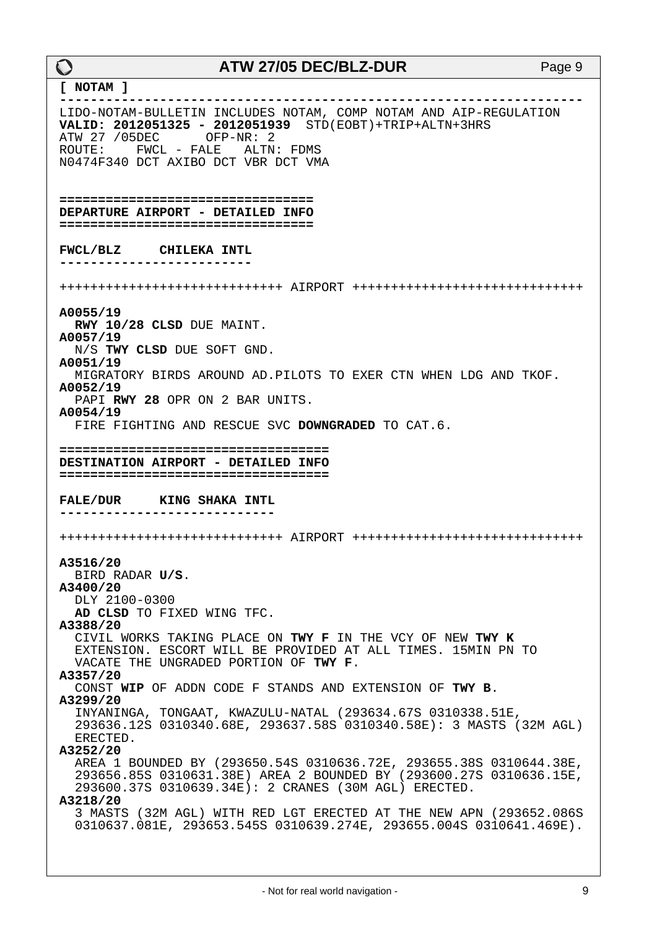#### **ATW 27/05 DEC/BLZ-DUR** Page 9 **[ NOTAM ] --------------------------------------------------------------------** LIDO-NOTAM-BULLETIN INCLUDES NOTAM, COMP NOTAM AND AIP-REGULATION **VALID: 2012051325 - 2012051939** STD(EOBT)+TRIP+ALTN+3HRS ATW 27 /05DEC OFP-NR: 2 ROUTE: FWCL - FALE ALTN: FDMS N0474F340 DCT AXIBO DCT VBR DCT VMA **================================= DEPARTURE AIRPORT - DETAILED INFO ================================= FWCL/BLZ CHILEKA INTL -------------------------** +++++++++++++++++++++++++++++ AIRPORT ++++++++++++++++++++++++++++++ **A0055/19 RWY 10/28 CLSD** DUE MAINT. **A0057/19**  N/S **TWY CLSD** DUE SOFT GND. **A0051/19**  MIGRATORY BIRDS AROUND AD.PILOTS TO EXER CTN WHEN LDG AND TKOF. **A0052/19**  PAPI **RWY 28** OPR ON 2 BAR UNITS. **A0054/19**  FIRE FIGHTING AND RESCUE SVC **DOWNGRADED** TO CAT.6. **=================================== DESTINATION AIRPORT - DETAILED INFO =================================== FALE/DUR KING SHAKA INTL ----------------------------** +++++++++++++++++++++++++++++ AIRPORT ++++++++++++++++++++++++++++++ **A3516/20**  BIRD RADAR **U/S**. **A3400/20**  DLY 2100-0300 **AD CLSD** TO FIXED WING TFC. **A3388/20**  CIVIL WORKS TAKING PLACE ON **TWY F** IN THE VCY OF NEW **TWY K** EXTENSION. ESCORT WILL BE PROVIDED AT ALL TIMES. 15MIN PN TO VACATE THE UNGRADED PORTION OF **TWY F**. **A3357/20**  CONST **WIP** OF ADDN CODE F STANDS AND EXTENSION OF **TWY B**. **A3299/20**  INYANINGA, TONGAAT, KWAZULU-NATAL (293634.67S 0310338.51E, 293636.12S 0310340.68E, 293637.58S 0310340.58E): 3 MASTS (32M AGL) ERECTED. **A3252/20**  AREA 1 BOUNDED BY (293650.54S 0310636.72E, 293655.38S 0310644.38E, 293656.85S 0310631.38E) AREA 2 BOUNDED BY (293600.27S 0310636.15E, 293600.37S 0310639.34E): 2 CRANES (30M AGL) ERECTED. **A3218/20**  3 MASTS (32M AGL) WITH RED LGT ERECTED AT THE NEW APN (293652.086S 0310637.081E, 293653.545S 0310639.274E, 293655.004S 0310641.469E).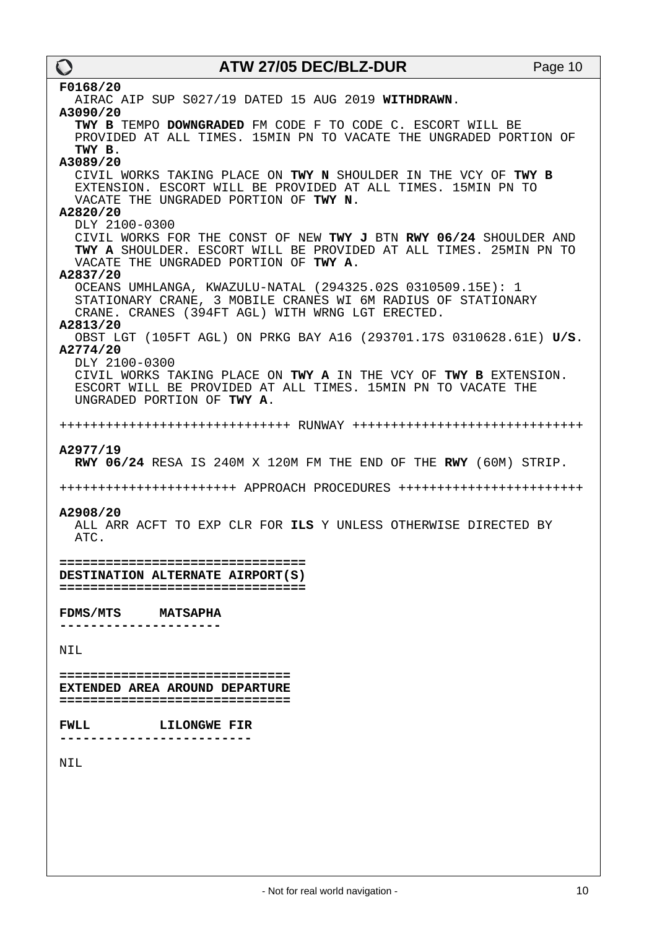| $\mathbf O$       | ATW 27/05 DEC/BLZ-DUR                                                                                                                                                           | Page 10 |
|-------------------|---------------------------------------------------------------------------------------------------------------------------------------------------------------------------------|---------|
| F0168/20          |                                                                                                                                                                                 |         |
| A3090/20          | AIRAC AIP SUP S027/19 DATED 15 AUG 2019 WITHDRAWN.                                                                                                                              |         |
| TWY B.            | TWY B TEMPO DOWNGRADED FM CODE F TO CODE C. ESCORT WILL BE<br>PROVIDED AT ALL TIMES. 15MIN PN TO VACATE THE UNGRADED PORTION OF                                                 |         |
| A3089/20          |                                                                                                                                                                                 |         |
| A2820/20          | CIVIL WORKS TAKING PLACE ON TWY N SHOULDER IN THE VCY OF TWY B<br>EXTENSION. ESCORT WILL BE PROVIDED AT ALL TIMES. 15MIN PN TO<br>VACATE THE UNGRADED PORTION OF TWY N.         |         |
| DLY 2100-0300     |                                                                                                                                                                                 |         |
| A2837/20          | CIVIL WORKS FOR THE CONST OF NEW TWY J BTN RWY 06/24 SHOULDER AND<br>TWY A SHOULDER. ESCORT WILL BE PROVIDED AT ALL TIMES. 25MIN PN TO<br>VACATE THE UNGRADED PORTION OF TWY A. |         |
|                   | OCEANS UMHLANGA, KWAZULU-NATAL (294325.02S 0310509.15E): 1<br>STATIONARY CRANE, 3 MOBILE CRANES WI 6M RADIUS OF STATIONARY<br>CRANE. CRANES (394FT AGL) WITH WRNG LGT ERECTED.  |         |
| A2813/20          | OBST LGT (105FT AGL) ON PRKG BAY A16 (293701.17S 0310628.61E) U/S.                                                                                                              |         |
| A2774/20          |                                                                                                                                                                                 |         |
| DLY 2100-0300     | CIVIL WORKS TAKING PLACE ON TWY A IN THE VCY OF TWY B EXTENSION.<br>ESCORT WILL BE PROVIDED AT ALL TIMES. 15MIN PN TO VACATE THE<br>UNGRADED PORTION OF TWY A.                  |         |
|                   |                                                                                                                                                                                 |         |
| A2977/19          | RWY 06/24 RESA IS 240M X 120M FM THE END OF THE RWY (60M) STRIP.                                                                                                                |         |
|                   |                                                                                                                                                                                 |         |
|                   | ++++++++++++++++++++++++ APPROACH PROCEDURES ++++++++++++++++++++++++++                                                                                                         |         |
| A2908/20<br>ATC.  | ALL ARR ACFT TO EXP CLR FOR ILS Y UNLESS OTHERWISE DIRECTED BY                                                                                                                  |         |
|                   | =================================<br>DESTINATION ALTERNATE AIRPORT(S)<br>=================================                                                                      |         |
| FDMS/MTS MATSAPHA |                                                                                                                                                                                 |         |
|                   |                                                                                                                                                                                 |         |
| NIL               |                                                                                                                                                                                 |         |
|                   | ===============================<br>EXTENDED AREA AROUND DEPARTURE<br>===============================                                                                            |         |
| <b>FWLL</b>       | <b>LILONGWE FIR</b>                                                                                                                                                             |         |
|                   |                                                                                                                                                                                 |         |
| NIL               |                                                                                                                                                                                 |         |
|                   |                                                                                                                                                                                 |         |
|                   |                                                                                                                                                                                 |         |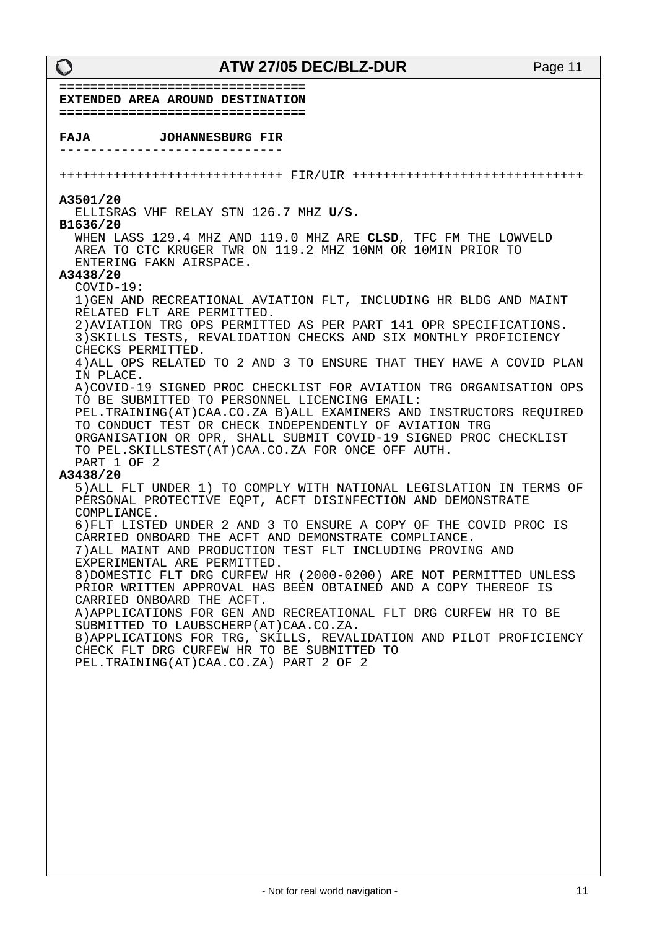**================================ EXTENDED AREA AROUND DESTINATION ================================ FAJA JOHANNESBURG FIR -----------------------------** +++++++++++++++++++++++++++++ FIR/UIR ++++++++++++++++++++++++++++++ **A3501/20**  ELLISRAS VHF RELAY STN 126.7 MHZ **U/S**. **B1636/20**  WHEN LASS 129.4 MHZ AND 119.0 MHZ ARE **CLSD**, TFC FM THE LOWVELD AREA TO CTC KRUGER TWR ON 119.2 MHZ 10NM OR 10MIN PRIOR TO ENTERING FAKN AIRSPACE. **A3438/20**  COVID-19: 1)GEN AND RECREATIONAL AVIATION FLT, INCLUDING HR BLDG AND MAINT RELATED FLT ARE PERMITTED. 2)AVIATION TRG OPS PERMITTED AS PER PART 141 OPR SPECIFICATIONS. 3)SKILLS TESTS, REVALIDATION CHECKS AND SIX MONTHLY PROFICIENCY CHECKS PERMITTED. 4)ALL OPS RELATED TO 2 AND 3 TO ENSURE THAT THEY HAVE A COVID PLAN IN PLACE. A)COVID-19 SIGNED PROC CHECKLIST FOR AVIATION TRG ORGANISATION OPS TO BE SUBMITTED TO PERSONNEL LICENCING EMAIL: PEL.TRAINING(AT)CAA.CO.ZA B)ALL EXAMINERS AND INSTRUCTORS REQUIRED TO CONDUCT TEST OR CHECK INDEPENDENTLY OF AVIATION TRG ORGANISATION OR OPR, SHALL SUBMIT COVID-19 SIGNED PROC CHECKLIST TO PEL.SKILLSTEST(AT)CAA.CO.ZA FOR ONCE OFF AUTH. PART 1 OF 2 **A3438/20**  5)ALL FLT UNDER 1) TO COMPLY WITH NATIONAL LEGISLATION IN TERMS OF PERSONAL PROTECTIVE EQPT, ACFT DISINFECTION AND DEMONSTRATE COMPLIANCE. 6)FLT LISTED UNDER 2 AND 3 TO ENSURE A COPY OF THE COVID PROC IS CARRIED ONBOARD THE ACFT AND DEMONSTRATE COMPLIANCE. 7)ALL MAINT AND PRODUCTION TEST FLT INCLUDING PROVING AND EXPERIMENTAL ARE PERMITTED. 8)DOMESTIC FLT DRG CURFEW HR (2000-0200) ARE NOT PERMITTED UNLESS PRIOR WRITTEN APPROVAL HAS BEEN OBTAINED AND A COPY THEREOF IS CARRIED ONBOARD THE ACFT. A)APPLICATIONS FOR GEN AND RECREATIONAL FLT DRG CURFEW HR TO BE SUBMITTED TO LAUBSCHERP(AT)CAA.CO.ZA. B)APPLICATIONS FOR TRG, SKILLS, REVALIDATION AND PILOT PROFICIENCY CHECK FLT DRG CURFEW HR TO BE SUBMITTED TO PEL.TRAINING(AT)CAA.CO.ZA) PART 2 OF 2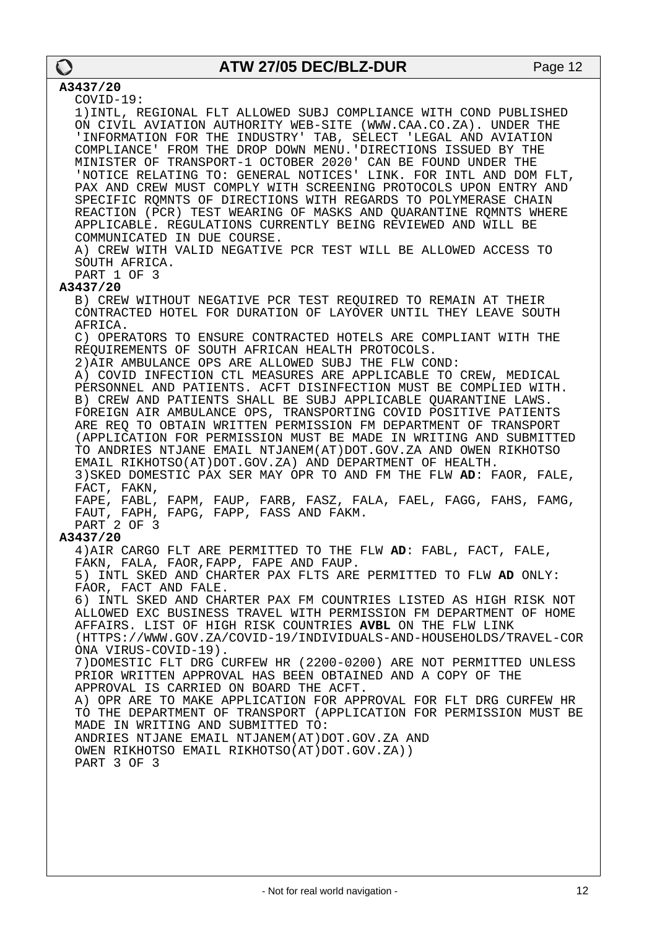### **A3437/20**

COVID-19:

 1)INTL, REGIONAL FLT ALLOWED SUBJ COMPLIANCE WITH COND PUBLISHED ON CIVIL AVIATION AUTHORITY WEB-SITE (WWW.CAA.CO.ZA). UNDER THE 'INFORMATION FOR THE INDUSTRY' TAB, SELECT 'LEGAL AND AVIATION COMPLIANCE' FROM THE DROP DOWN MENU.'DIRECTIONS ISSUED BY THE MINISTER OF TRANSPORT-1 OCTOBER 2020' CAN BE FOUND UNDER THE 'NOTICE RELATING TO: GENERAL NOTICES' LINK. FOR INTL AND DOM FLT, PAX AND CREW MUST COMPLY WITH SCREENING PROTOCOLS UPON ENTRY AND SPECIFIC RQMNTS OF DIRECTIONS WITH REGARDS TO POLYMERASE CHAIN REACTION (PCR) TEST WEARING OF MASKS AND QUARANTINE RQMNTS WHERE APPLICABLE. REGULATIONS CURRENTLY BEING REVIEWED AND WILL BE COMMUNICATED IN DUE COURSE. A) CREW WITH VALID NEGATIVE PCR TEST WILL BE ALLOWED ACCESS TO SOUTH AFRICA. PART 1 OF 3 **A3437/20**  B) CREW WITHOUT NEGATIVE PCR TEST REQUIRED TO REMAIN AT THEIR CONTRACTED HOTEL FOR DURATION OF LAYOVER UNTIL THEY LEAVE SOUTH AFRICA. C) OPERATORS TO ENSURE CONTRACTED HOTELS ARE COMPLIANT WITH THE REQUIREMENTS OF SOUTH AFRICAN HEALTH PROTOCOLS. 2)AIR AMBULANCE OPS ARE ALLOWED SUBJ THE FLW COND: A) COVID INFECTION CTL MEASURES ARE APPLICABLE TO CREW, MEDICAL PERSONNEL AND PATIENTS. ACFT DISINFECTION MUST BE COMPLIED WITH. B) CREW AND PATIENTS SHALL BE SUBJ APPLICABLE QUARANTINE LAWS. FOREIGN AIR AMBULANCE OPS, TRANSPORTING COVID POSITIVE PATIENTS ARE REQ TO OBTAIN WRITTEN PERMISSION FM DEPARTMENT OF TRANSPORT (APPLICATION FOR PERMISSION MUST BE MADE IN WRITING AND SUBMITTED TO ANDRIES NTJANE EMAIL NTJANEM(AT)DOT.GOV.ZA AND OWEN RIKHOTSO EMAIL RIKHOTSO(AT)DOT.GOV.ZA) AND DEPARTMENT OF HEALTH. 3)SKED DOMESTIC PAX SER MAY OPR TO AND FM THE FLW **AD**: FAOR, FALE, FACT, FAKN, FAPE, FABL, FAPM, FAUP, FARB, FASZ, FALA, FAEL, FAGG, FAHS, FAMG, FAUT, FAPH, FAPG, FAPP, FASS AND FAKM. PART 2 OF 3 **A3437/20**  4)AIR CARGO FLT ARE PERMITTED TO THE FLW **AD**: FABL, FACT, FALE, FAKN, FALA, FAOR,FAPP, FAPE AND FAUP. 5) INTL SKED AND CHARTER PAX FLTS ARE PERMITTED TO FLW **AD** ONLY: FAOR, FACT AND FALE. 6) INTL SKED AND CHARTER PAX FM COUNTRIES LISTED AS HIGH RISK NOT ALLOWED EXC BUSINESS TRAVEL WITH PERMISSION FM DEPARTMENT OF HOME AFFAIRS. LIST OF HIGH RISK COUNTRIES **AVBL** ON THE FLW LINK (HTTPS://WWW.GOV.ZA/COVID-19/INDIVIDUALS-AND-HOUSEHOLDS/TRAVEL-COR ONA VIRUS-COVID-19). 7)DOMESTIC FLT DRG CURFEW HR (2200-0200) ARE NOT PERMITTED UNLESS PRIOR WRITTEN APPROVAL HAS BEEN OBTAINED AND A COPY OF THE APPROVAL IS CARRIED ON BOARD THE ACFT. A) OPR ARE TO MAKE APPLICATION FOR APPROVAL FOR FLT DRG CURFEW HR TO THE DEPARTMENT OF TRANSPORT (APPLICATION FOR PERMISSION MUST BE MADE IN WRITING AND SUBMITTED TO: ANDRIES NTJANE EMAIL NTJANEM(AT)DOT.GOV.ZA AND OWEN RIKHOTSO EMAIL RIKHOTSO(AT)DOT.GOV.ZA)) PART 3 OF 3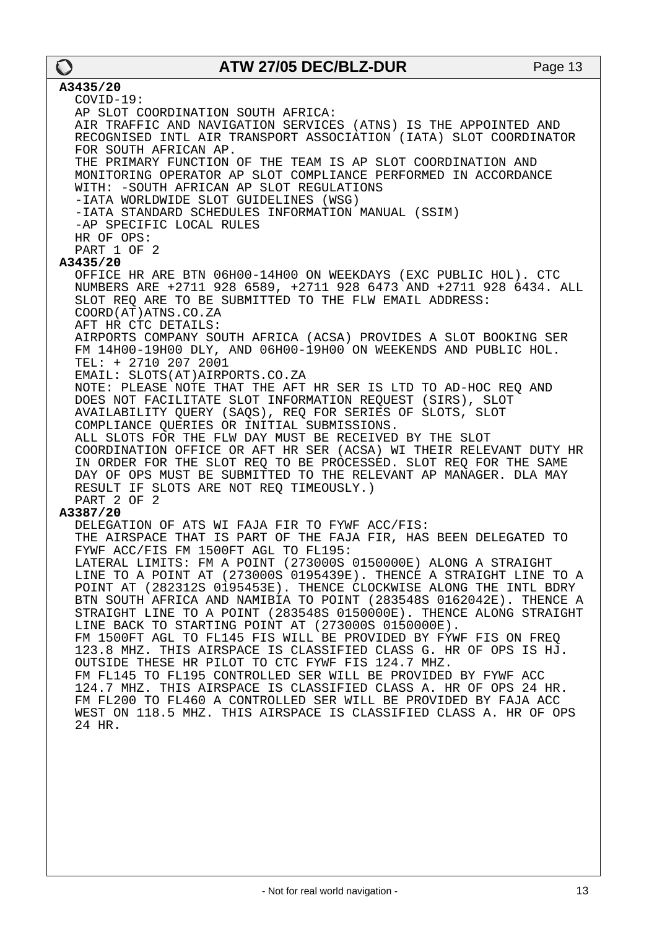#### **A3435/20**  COVID-19: AP SLOT COORDINATION SOUTH AFRICA: AIR TRAFFIC AND NAVIGATION SERVICES (ATNS) IS THE APPOINTED AND RECOGNISED INTL AIR TRANSPORT ASSOCIATION (IATA) SLOT COORDINATOR FOR SOUTH AFRICAN AP. THE PRIMARY FUNCTION OF THE TEAM IS AP SLOT COORDINATION AND MONITORING OPERATOR AP SLOT COMPLIANCE PERFORMED IN ACCORDANCE WITH: -SOUTH AFRICAN AP SLOT REGULATIONS -IATA WORLDWIDE SLOT GUIDELINES (WSG) -IATA STANDARD SCHEDULES INFORMATION MANUAL (SSIM) -AP SPECIFIC LOCAL RULES HR OF OPS: PART 1 OF 2 **A3435/20**  OFFICE HR ARE BTN 06H00-14H00 ON WEEKDAYS (EXC PUBLIC HOL). CTC NUMBERS ARE +2711 928 6589, +2711 928 6473 AND +2711 928 6434. ALL SLOT REQ ARE TO BE SUBMITTED TO THE FLW EMAIL ADDRESS: COORD(AT)ATNS.CO.ZA AFT HR CTC DETAILS: AIRPORTS COMPANY SOUTH AFRICA (ACSA) PROVIDES A SLOT BOOKING SER FM 14H00-19H00 DLY, AND 06H00-19H00 ON WEEKENDS AND PUBLIC HOL. TEL: + 2710 207 2001 EMAIL: SLOTS(AT)AIRPORTS.CO.ZA NOTE: PLEASE NOTE THAT THE AFT HR SER IS LTD TO AD-HOC REQ AND DOES NOT FACILITATE SLOT INFORMATION REQUEST (SIRS), SLOT AVAILABILITY QUERY (SAQS), REQ FOR SERIES OF SLOTS, SLOT COMPLIANCE QUERIES OR INITIAL SUBMISSIONS. ALL SLOTS FOR THE FLW DAY MUST BE RECEIVED BY THE SLOT COORDINATION OFFICE OR AFT HR SER (ACSA) WI THEIR RELEVANT DUTY HR IN ORDER FOR THE SLOT REQ TO BE PROCESSED. SLOT REQ FOR THE SAME DAY OF OPS MUST BE SUBMITTED TO THE RELEVANT AP MANAGER. DLA MAY RESULT IF SLOTS ARE NOT REQ TIMEOUSLY.) PART 2 OF 2 **A3387/20**  DELEGATION OF ATS WI FAJA FIR TO FYWF ACC/FIS: THE AIRSPACE THAT IS PART OF THE FAJA FIR, HAS BEEN DELEGATED TO FYWF ACC/FIS FM 1500FT AGL TO FL195: LATERAL LIMITS: FM A POINT (273000S 0150000E) ALONG A STRAIGHT LINE TO A POINT AT (273000S 0195439E). THENCE A STRAIGHT LINE TO A POINT AT (282312S 0195453E). THENCE CLOCKWISE ALONG THE INTL BDRY BTN SOUTH AFRICA AND NAMIBIA TO POINT (283548S 0162042E). THENCE A STRAIGHT LINE TO A POINT (283548S 0150000E). THENCE ALONG STRAIGHT LINE BACK TO STARTING POINT AT (273000S 0150000E). FM 1500FT AGL TO FL145 FIS WILL BE PROVIDED BY FYWF FIS ON FREQ 123.8 MHZ. THIS AIRSPACE IS CLASSIFIED CLASS G. HR OF OPS IS HJ. OUTSIDE THESE HR PILOT TO CTC FYWF FIS 124.7 MHZ. FM FL145 TO FL195 CONTROLLED SER WILL BE PROVIDED BY FYWF ACC 124.7 MHZ. THIS AIRSPACE IS CLASSIFIED CLASS A. HR OF OPS 24 HR. FM FL200 TO FL460 A CONTROLLED SER WILL BE PROVIDED BY FAJA ACC WEST ON 118.5 MHZ. THIS AIRSPACE IS CLASSIFIED CLASS A. HR OF OPS 24 HR.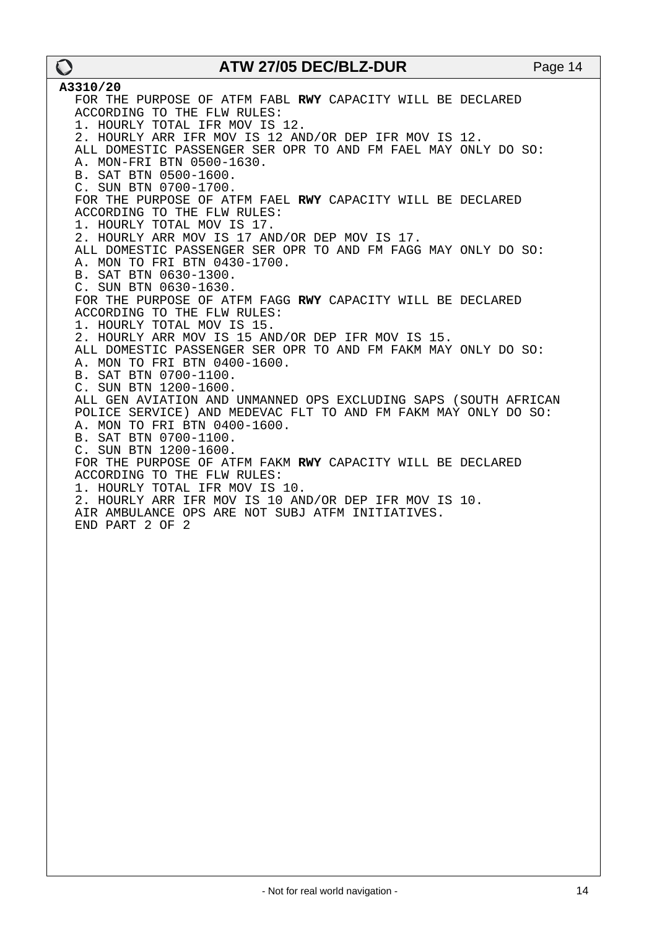**A3310/20**  FOR THE PURPOSE OF ATFM FABL **RWY** CAPACITY WILL BE DECLARED ACCORDING TO THE FLW RULES: 1. HOURLY TOTAL IFR MOV IS 12. 2. HOURLY ARR IFR MOV IS 12 AND/OR DEP IFR MOV IS 12. ALL DOMESTIC PASSENGER SER OPR TO AND FM FAEL MAY ONLY DO SO: A. MON-FRI BTN 0500-1630. B. SAT BTN 0500-1600. C. SUN BTN 0700-1700. FOR THE PURPOSE OF ATFM FAEL **RWY** CAPACITY WILL BE DECLARED ACCORDING TO THE FLW RULES: 1. HOURLY TOTAL MOV IS 17. 2. HOURLY ARR MOV IS 17 AND/OR DEP MOV IS 17. ALL DOMESTIC PASSENGER SER OPR TO AND FM FAGG MAY ONLY DO SO: A. MON TO FRI BTN 0430-1700. B. SAT BTN 0630-1300. C. SUN BTN 0630-1630. FOR THE PURPOSE OF ATFM FAGG **RWY** CAPACITY WILL BE DECLARED ACCORDING TO THE FLW RULES: 1. HOURLY TOTAL MOV IS 15. 2. HOURLY ARR MOV IS 15 AND/OR DEP IFR MOV IS 15. ALL DOMESTIC PASSENGER SER OPR TO AND FM FAKM MAY ONLY DO SO: A. MON TO FRI BTN 0400-1600. B. SAT BTN 0700-1100. C. SUN BTN 1200-1600. ALL GEN AVIATION AND UNMANNED OPS EXCLUDING SAPS (SOUTH AFRICAN POLICE SERVICE) AND MEDEVAC FLT TO AND FM FAKM MAY ONLY DO SO: A. MON TO FRI BTN 0400-1600. B. SAT BTN 0700-1100. C. SUN BTN 1200-1600. FOR THE PURPOSE OF ATFM FAKM **RWY** CAPACITY WILL BE DECLARED ACCORDING TO THE FLW RULES: 1. HOURLY TOTAL IFR MOV IS 10. 2. HOURLY ARR IFR MOV IS 10 AND/OR DEP IFR MOV IS 10. AIR AMBULANCE OPS ARE NOT SUBJ ATFM INITIATIVES. END PART 2 OF 2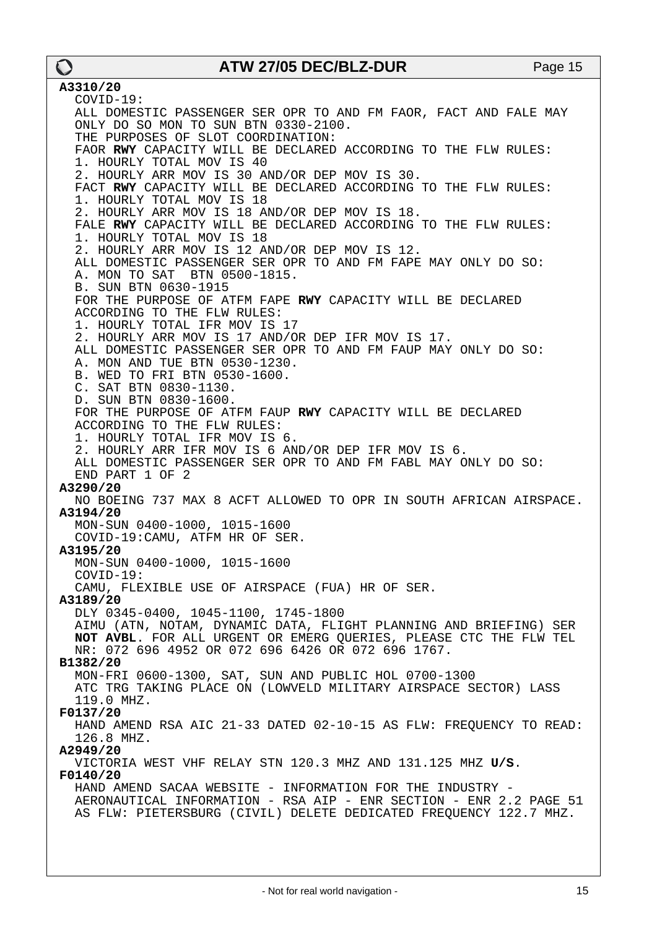**A3310/20**  COVID-19: ALL DOMESTIC PASSENGER SER OPR TO AND FM FAOR, FACT AND FALE MAY ONLY DO SO MON TO SUN BTN 0330-2100. THE PURPOSES OF SLOT COORDINATION: FAOR **RWY** CAPACITY WILL BE DECLARED ACCORDING TO THE FLW RULES: 1. HOURLY TOTAL MOV IS 40 2. HOURLY ARR MOV IS 30 AND/OR DEP MOV IS 30. FACT **RWY** CAPACITY WILL BE DECLARED ACCORDING TO THE FLW RULES: 1. HOURLY TOTAL MOV IS 18 2. HOURLY ARR MOV IS 18 AND/OR DEP MOV IS 18. FALE **RWY** CAPACITY WILL BE DECLARED ACCORDING TO THE FLW RULES: 1. HOURLY TOTAL MOV IS 18 2. HOURLY ARR MOV IS 12 AND/OR DEP MOV IS 12. ALL DOMESTIC PASSENGER SER OPR TO AND FM FAPE MAY ONLY DO SO:<br>A. MON TO SAT BTN 0500-1815. A. MON TO SAT B. SUN BTN 0630-1915 FOR THE PURPOSE OF ATFM FAPE **RWY** CAPACITY WILL BE DECLARED ACCORDING TO THE FLW RULES: 1. HOURLY TOTAL IFR MOV IS 17 2. HOURLY ARR MOV IS 17 AND/OR DEP IFR MOV IS 17. ALL DOMESTIC PASSENGER SER OPR TO AND FM FAUP MAY ONLY DO SO: A. MON AND TUE BTN 0530-1230. B. WED TO FRI BTN 0530-1600. C. SAT BTN 0830-1130. D. SUN BTN 0830-1600. FOR THE PURPOSE OF ATFM FAUP **RWY** CAPACITY WILL BE DECLARED ACCORDING TO THE FLW RULES: 1. HOURLY TOTAL IFR MOV IS 6. 2. HOURLY ARR IFR MOV IS 6 AND/OR DEP IFR MOV IS 6. ALL DOMESTIC PASSENGER SER OPR TO AND FM FABL MAY ONLY DO SO: END PART 1 OF 2 **A3290/20**  NO BOEING 737 MAX 8 ACFT ALLOWED TO OPR IN SOUTH AFRICAN AIRSPACE. **A3194/20**  MON-SUN 0400-1000, 1015-1600 COVID-19:CAMU, ATFM HR OF SER. **A3195/20**  MON-SUN 0400-1000, 1015-1600 COVID-19: CAMU, FLEXIBLE USE OF AIRSPACE (FUA) HR OF SER. **A3189/20**  DLY 0345-0400, 1045-1100, 1745-1800 AIMU (ATN, NOTAM, DYNAMIC DATA, FLIGHT PLANNING AND BRIEFING) SER **NOT AVBL**. FOR ALL URGENT OR EMERG QUERIES, PLEASE CTC THE FLW TEL NR: 072 696 4952 OR 072 696 6426 OR 072 696 1767. **B1382/20**  MON-FRI 0600-1300, SAT, SUN AND PUBLIC HOL 0700-1300 ATC TRG TAKING PLACE ON (LOWVELD MILITARY AIRSPACE SECTOR) LASS 119.0 MHZ. **F0137/20**  HAND AMEND RSA AIC 21-33 DATED 02-10-15 AS FLW: FREQUENCY TO READ: 126.8 MHZ. **A2949/20**  VICTORIA WEST VHF RELAY STN 120.3 MHZ AND 131.125 MHZ **U/S**. **F0140/20**  HAND AMEND SACAA WEBSITE - INFORMATION FOR THE INDUSTRY - AERONAUTICAL INFORMATION - RSA AIP - ENR SECTION - ENR 2.2 PAGE 51 AS FLW: PIETERSBURG (CIVIL) DELETE DEDICATED FREQUENCY 122.7 MHZ.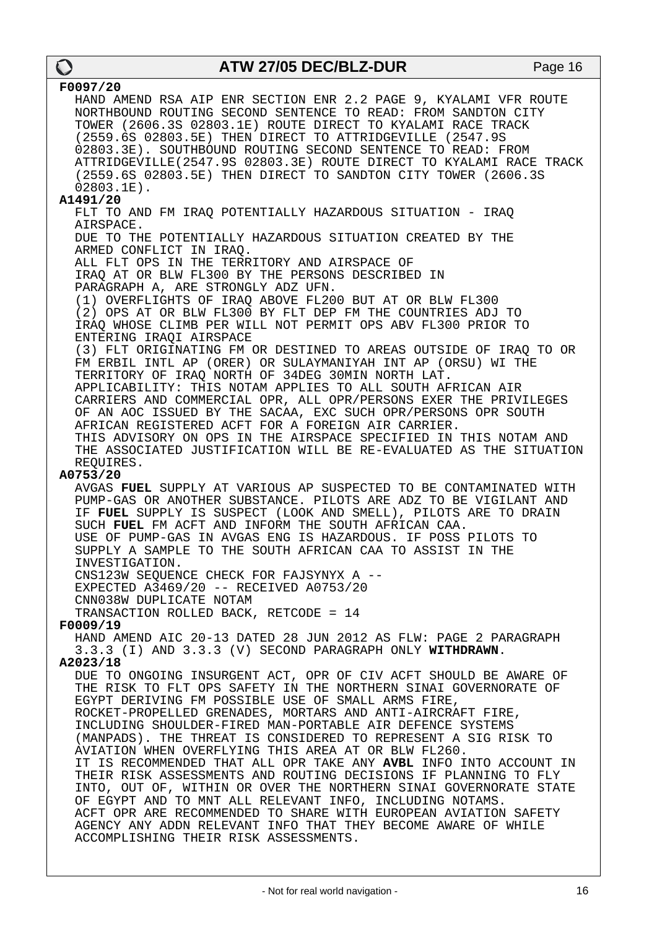| F0097/20                                                                                                                    |
|-----------------------------------------------------------------------------------------------------------------------------|
| HAND AMEND RSA AIP ENR SECTION ENR 2.2 PAGE 9, KYALAMI VFR ROUTE                                                            |
| NORTHBOUND ROUTING SECOND SENTENCE TO READ: FROM SANDTON CITY                                                               |
| TOWER (2606.3S 02803.1E) ROUTE DIRECT TO KYALAMI RACE TRACK                                                                 |
| (2559.6S 02803.5E) THEN DIRECT TO ATTRIDGEVILLE (2547.9S                                                                    |
| 02803.3E). SOUTHBOUND ROUTING SECOND SENTENCE TO READ: FROM                                                                 |
| ATTRIDGEVILLE (2547.9S 02803.3E) ROUTE DIRECT TO KYALAMI RACE TRACK                                                         |
| (2559.6S 02803.5E) THEN DIRECT TO SANDTON CITY TOWER (2606.3S                                                               |
| $02803.1E$ .                                                                                                                |
| A1491/20                                                                                                                    |
| FLT TO AND FM IRAQ POTENTIALLY HAZARDOUS SITUATION - IRAQ                                                                   |
| AIRSPACE.                                                                                                                   |
| DUE TO THE POTENTIALLY HAZARDOUS SITUATION CREATED BY THE                                                                   |
| ARMED CONFLICT IN IRAO.                                                                                                     |
| ALL FLT OPS IN THE TERRITORY AND AIRSPACE OF                                                                                |
| IRAQ AT OR BLW FL300 BY THE PERSONS DESCRIBED IN                                                                            |
| PARAGRAPH A, ARE STRONGLY ADZ UFN.                                                                                          |
| (1) OVERFLIGHTS OF IRAQ ABOVE FL200 BUT AT OR BLW FL300                                                                     |
| (2) OPS AT OR BLW FL300 BY FLT DEP FM THE COUNTRIES ADJ TO                                                                  |
| IRAO WHOSE CLIMB PER WILL NOT PERMIT OPS ABV FL300 PRIOR TO                                                                 |
| ENTERING IRAQI AIRSPACE                                                                                                     |
| (3) FLT ORIGINATING FM OR DESTINED TO AREAS OUTSIDE OF IRAQ TO OR                                                           |
| FM ERBIL INTL AP (ORER) OR SULAYMANIYAH INT AP (ORSU) WI THE                                                                |
| TERRITORY OF IRAO NORTH OF 34DEG 30MIN NORTH LAT.                                                                           |
| APPLICABILITY: THIS NOTAM APPLIES TO ALL SOUTH AFRICAN AIR                                                                  |
| CARRIERS AND COMMERCIAL OPR, ALL OPR/PERSONS EXER THE PRIVILEGES                                                            |
| OF AN AOC ISSUED BY THE SACAA, EXC SUCH OPR/PERSONS OPR SOUTH                                                               |
| AFRICAN REGISTERED ACFT FOR A FOREIGN AIR CARRIER.                                                                          |
| THIS ADVISORY ON OPS IN THE AIRSPACE SPECIFIED IN THIS NOTAM AND                                                            |
| THE ASSOCIATED JUSTIFICATION WILL BE RE-EVALUATED AS THE SITUATION                                                          |
| REQUIRES.                                                                                                                   |
|                                                                                                                             |
| A0753/20                                                                                                                    |
| AVGAS FUEL SUPPLY AT VARIOUS AP SUSPECTED TO BE CONTAMINATED WITH                                                           |
| PUMP-GAS OR ANOTHER SUBSTANCE. PILOTS ARE ADZ TO BE VIGILANT AND                                                            |
| IF FUEL SUPPLY IS SUSPECT (LOOK AND SMELL), PILOTS ARE TO DRAIN                                                             |
| SUCH FUEL FM ACFT AND INFORM THE SOUTH AFRICAN CAA.                                                                         |
| USE OF PUMP-GAS IN AVGAS ENG IS HAZARDOUS. IF POSS PILOTS TO                                                                |
| SUPPLY A SAMPLE TO THE SOUTH AFRICAN CAA TO ASSIST IN THE                                                                   |
| INVESTIGATION.                                                                                                              |
| CNS123W SEQUENCE CHECK FOR FAJSYNYX A --                                                                                    |
| EXPECTED A3469/20 -- RECEIVED A0753/20                                                                                      |
| CNN038W DUPLICATE NOTAM                                                                                                     |
| TRANSACTION ROLLED BACK, RETCODE = 14                                                                                       |
| F0009/19                                                                                                                    |
| HAND AMEND AIC 20-13 DATED 28 JUN 2012 AS FLW: PAGE 2 PARAGRAPH                                                             |
| 3.3.3 (I) AND 3.3.3 (V) SECOND PARAGRAPH ONLY WITHDRAWN.                                                                    |
| A2023/18                                                                                                                    |
| DUE TO ONGOING INSURGENT ACT, OPR OF CIV ACFT SHOULD BE AWARE OF                                                            |
| THE RISK TO FLT OPS SAFETY IN THE NORTHERN SINAI GOVERNORATE OF                                                             |
| EGYPT DERIVING FM POSSIBLE USE OF SMALL ARMS FIRE,                                                                          |
| ROCKET-PROPELLED GRENADES, MORTARS AND ANTI-AIRCRAFT FIRE,                                                                  |
| INCLUDING SHOULDER-FIRED MAN-PORTABLE AIR DEFENCE SYSTEMS                                                                   |
| (MANPADS). THE THREAT IS CONSIDERED TO REPRESENT A SIG RISK TO                                                              |
| AVIATION WHEN OVERFLYING THIS AREA AT OR BLW FL260.                                                                         |
| IT IS RECOMMENDED THAT ALL OPR TAKE ANY AVBL INFO INTO ACCOUNT IN                                                           |
| THEIR RISK ASSESSMENTS AND ROUTING DECISIONS IF PLANNING TO FLY                                                             |
| INTO, OUT OF, WITHIN OR OVER THE NORTHERN SINAI GOVERNORATE STATE                                                           |
| OF EGYPT AND TO MNT ALL RELEVANT INFO, INCLUDING NOTAMS.<br>ACFT OPR ARE RECOMMENDED TO SHARE WITH EUROPEAN AVIATION SAFETY |
| AGENCY ANY ADDN RELEVANT INFO THAT THEY BECOME AWARE OF WHILE                                                               |
| ACCOMPLISHING THEIR RISK ASSESSMENTS.                                                                                       |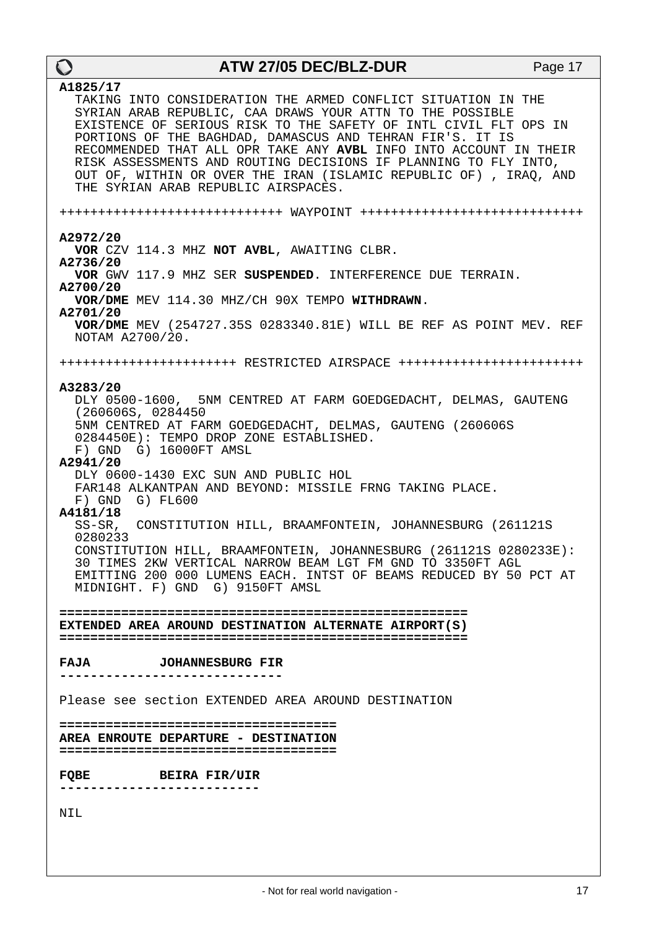| $\mathbf O$                                                                                                                                       | <b>ATW 27/05 DEC/BLZ-DUR</b>                                                                                                                                                                            |                                                                                                                                                                                                                                                                                                                                               | Page 17 |
|---------------------------------------------------------------------------------------------------------------------------------------------------|---------------------------------------------------------------------------------------------------------------------------------------------------------------------------------------------------------|-----------------------------------------------------------------------------------------------------------------------------------------------------------------------------------------------------------------------------------------------------------------------------------------------------------------------------------------------|---------|
| A1825/17<br>THE SYRIAN ARAB REPUBLIC AIRSPACES.                                                                                                   | SYRIAN ARAB REPUBLIC, CAA DRAWS YOUR ATTN TO THE POSSIBLE<br>PORTIONS OF THE BAGHDAD, DAMASCUS AND TEHRAN FIR'S. IT IS                                                                                  | TAKING INTO CONSIDERATION THE ARMED CONFLICT SITUATION IN THE<br>EXISTENCE OF SERIOUS RISK TO THE SAFETY OF INTL CIVIL FLT OPS IN<br>RECOMMENDED THAT ALL OPR TAKE ANY AVBL INFO INTO ACCOUNT IN THEIR<br>RISK ASSESSMENTS AND ROUTING DECISIONS IF PLANNING TO FLY INTO,<br>OUT OF, WITHIN OR OVER THE IRAN (ISLAMIC REPUBLIC OF), IRAQ, AND |         |
|                                                                                                                                                   |                                                                                                                                                                                                         |                                                                                                                                                                                                                                                                                                                                               |         |
| A2972/20<br>A2736/20<br>A2700/20                                                                                                                  | VOR CZV 114.3 MHZ NOT AVBL, AWAITING CLBR.<br>VOR/DME MEV 114.30 MHZ/CH 90X TEMPO WITHDRAWN.                                                                                                            | VOR GWV 117.9 MHZ SER SUSPENDED. INTERFERENCE DUE TERRAIN.                                                                                                                                                                                                                                                                                    |         |
| A2701/20<br>NOTAM A2700/20.                                                                                                                       |                                                                                                                                                                                                         | VOR/DME MEV (254727.35S 0283340.81E) WILL BE REF AS POINT MEV. REF                                                                                                                                                                                                                                                                            |         |
|                                                                                                                                                   |                                                                                                                                                                                                         | ++++++++++++++++++++++++ RESTRICTED AIRSPACE +++++++++++++++++++++++++++                                                                                                                                                                                                                                                                      |         |
| A3283/20<br>(260606S, 0284450)<br>F) GND G) 16000FT AMSL<br>A2941/20<br>F) GND G) FL600<br>A4181/18<br>0280233<br>MIDNIGHT. F) GND G) 9150FT AMSL | 5NM CENTRED AT FARM GOEDGEDACHT, DELMAS, GAUTENG (260606S<br>0284450E): TEMPO DROP ZONE ESTABLISHED.<br>DLY 0600-1430 EXC SUN AND PUBLIC HOL<br>FAR148 ALKANTPAN AND BEYOND: MISSILE FRNG TAKING PLACE. | DLY 0500-1600, 5NM CENTRED AT FARM GOEDGEDACHT, DELMAS, GAUTENG<br>SS-SR, CONSTITUTION HILL, BRAAMFONTEIN, JOHANNESBURG (261121S)<br>CONSTITUTION HILL, BRAAMFONTEIN, JOHANNESBURG (261121S 0280233E):<br>30 TIMES 2KW VERTICAL NARROW BEAM LGT FM GND TO 3350FT AGL<br>EMITTING 200 000 LUMENS EACH. INTST OF BEAMS REDUCED BY 50 PCT AT     |         |
| EXTENDED AREA AROUND DESTINATION ALTERNATE AIRPORT(S)                                                                                             |                                                                                                                                                                                                         |                                                                                                                                                                                                                                                                                                                                               |         |
| <b>FAJA</b>                                                                                                                                       | <b>JOHANNESBURG FIR</b>                                                                                                                                                                                 |                                                                                                                                                                                                                                                                                                                                               |         |
| Please see section EXTENDED AREA AROUND DESTINATION                                                                                               |                                                                                                                                                                                                         |                                                                                                                                                                                                                                                                                                                                               |         |
| AREA ENROUTE DEPARTURE - DESTINATION                                                                                                              |                                                                                                                                                                                                         |                                                                                                                                                                                                                                                                                                                                               |         |
| FQBE<br><b>BEIRA FIR/UIR</b>                                                                                                                      |                                                                                                                                                                                                         |                                                                                                                                                                                                                                                                                                                                               |         |
| NIL                                                                                                                                               |                                                                                                                                                                                                         |                                                                                                                                                                                                                                                                                                                                               |         |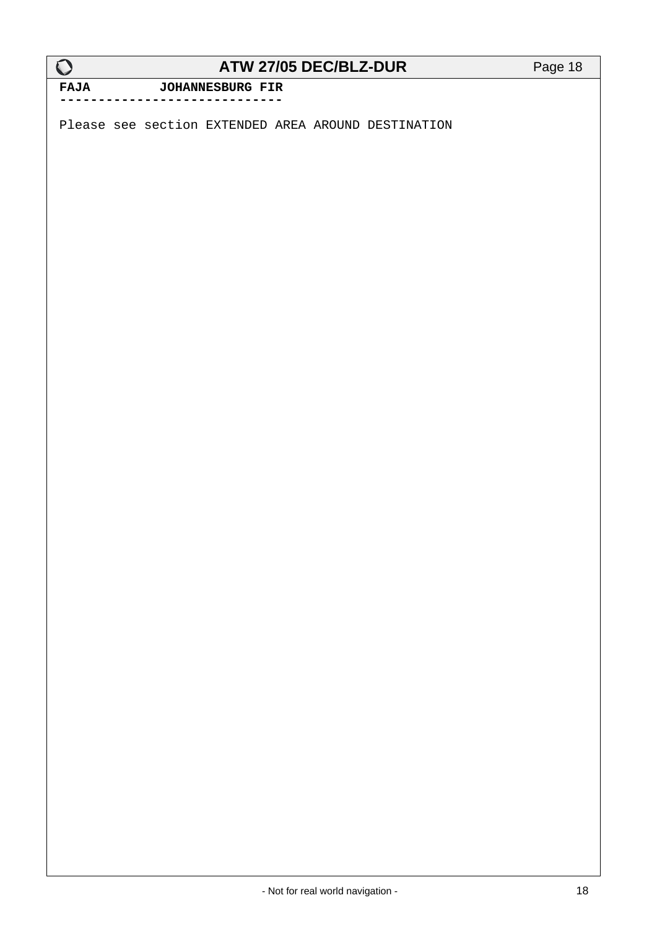**FAJA JOHANNESBURG FIR -----------------------------**

Please see section EXTENDED AREA AROUND DESTINATION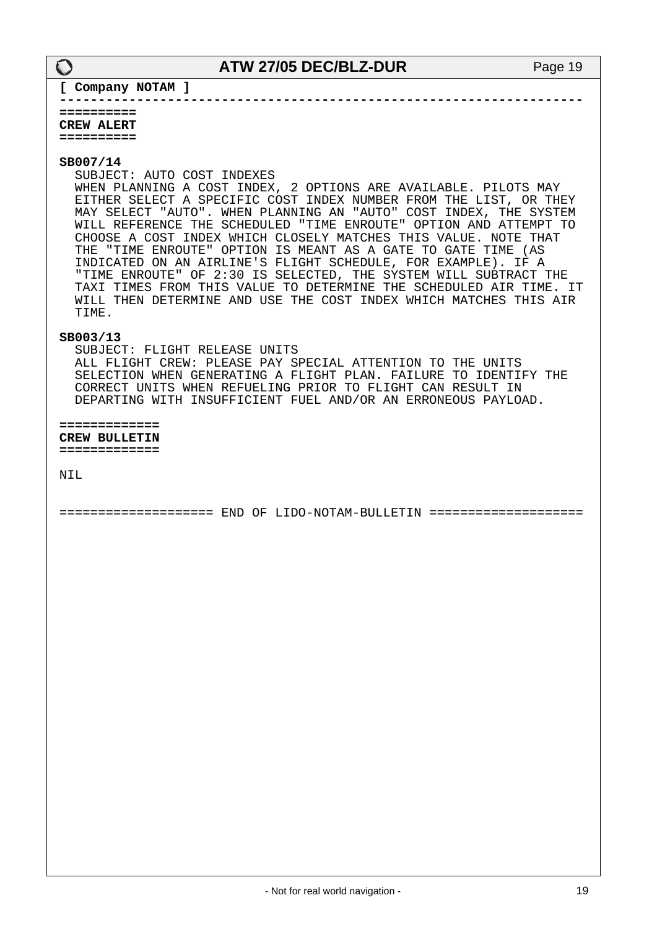**--------------------------------------------------------------------**

**[ Company NOTAM ]**

**========== CREW ALERT ==========**

#### **SB007/14**

SUBJECT: AUTO COST INDEXES

 WHEN PLANNING A COST INDEX, 2 OPTIONS ARE AVAILABLE. PILOTS MAY EITHER SELECT A SPECIFIC COST INDEX NUMBER FROM THE LIST, OR THEY MAY SELECT "AUTO". WHEN PLANNING AN "AUTO" COST INDEX, THE SYSTEM WILL REFERENCE THE SCHEDULED "TIME ENROUTE" OPTION AND ATTEMPT TO CHOOSE A COST INDEX WHICH CLOSELY MATCHES THIS VALUE. NOTE THAT THE "TIME ENROUTE" OPTION IS MEANT AS A GATE TO GATE TIME (AS INDICATED ON AN AIRLINE'S FLIGHT SCHEDULE, FOR EXAMPLE). IF A "TIME ENROUTE" OF 2:30 IS SELECTED, THE SYSTEM WILL SUBTRACT THE TAXI TIMES FROM THIS VALUE TO DETERMINE THE SCHEDULED AIR TIME. IT WILL THEN DETERMINE AND USE THE COST INDEX WHICH MATCHES THIS AIR TIME.

#### **SB003/13**

 SUBJECT: FLIGHT RELEASE UNITS ALL FLIGHT CREW: PLEASE PAY SPECIAL ATTENTION TO THE UNITS SELECTION WHEN GENERATING A FLIGHT PLAN. FAILURE TO IDENTIFY THE CORRECT UNITS WHEN REFUELING PRIOR TO FLIGHT CAN RESULT IN DEPARTING WITH INSUFFICIENT FUEL AND/OR AN ERRONEOUS PAYLOAD.

**============= CREW BULLETIN =============**

NIL

==================== END OF LIDO-NOTAM-BULLETIN ====================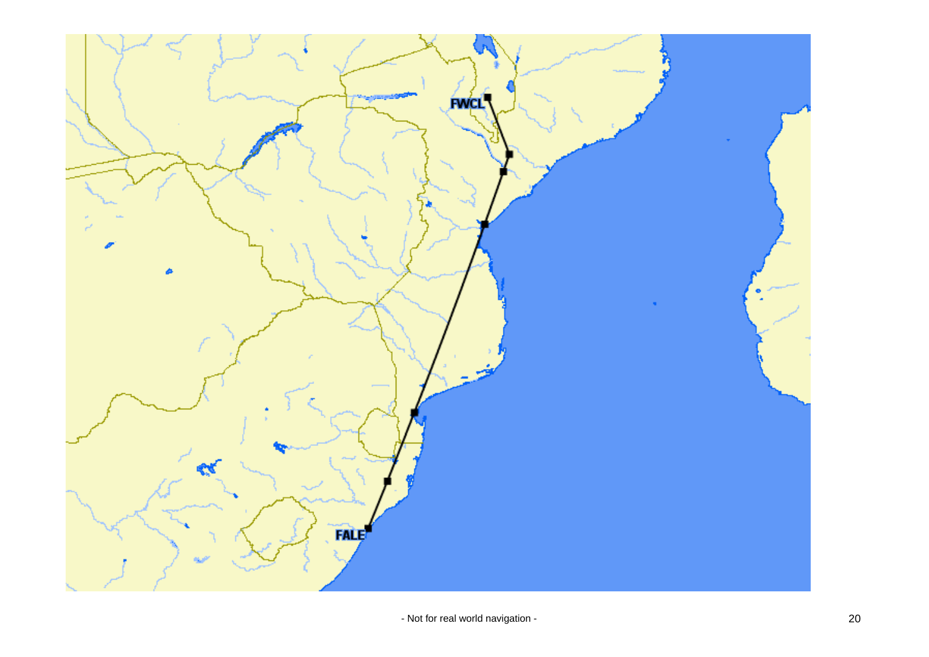